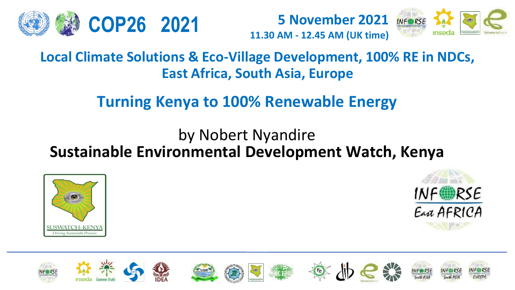

**5 November 2021 11.30 AM - 12.45 AM (UK time) COP26 2021**



**Local Climate Solutions & Eco-Village Development, 100% RE in NDCs, East Africa, South Asia, Europe**

### **Turning Kenya to 100% Renewable Energy**

### by Nobert Nyandire **Sustainable Environmental Development Watch, Kenya**





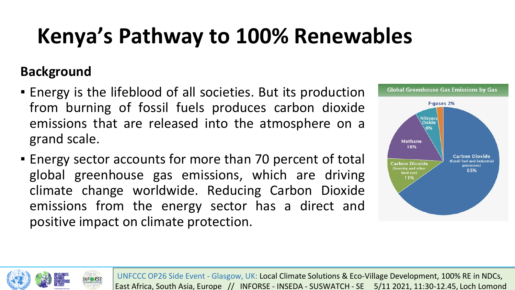# **Kenya's Pathway to 100% Renewables**

#### **Background**

- **Energy is the lifeblood of all societies. But its production** from burning of fossil fuels produces carbon dioxide emissions that are released into the atmosphere on a grand scale.
- **Energy sector accounts for more than 70 percent of total** global greenhouse gas emissions, which are driving climate change worldwide. Reducing Carbon Dioxide emissions from the energy sector has a direct and positive impact on climate protection.



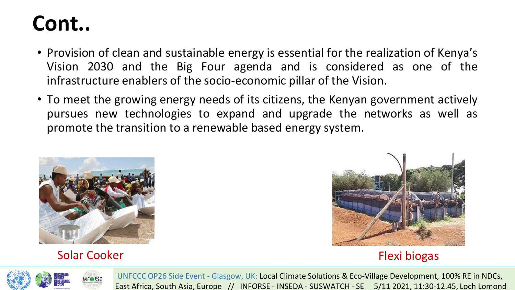### **Cont..**

- Provision of clean and sustainable energy is essential for the realization of Kenya's Vision 2030 and the Big Four agenda and is considered as one of the infrastructure enablers of the socio-economic pillar of the Vision.
- To meet the growing energy needs of its citizens, the Kenyan government actively pursues new technologies to expand and upgrade the networks as well as promote the transition to a renewable based energy system.



#### Solar Cooker **Flexi biogas**



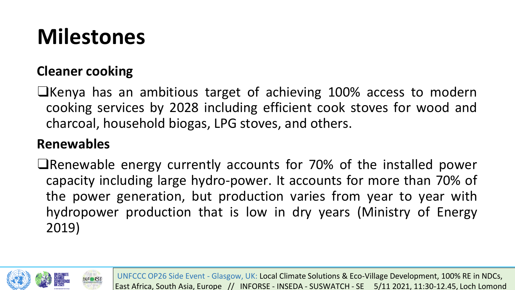# **Milestones**

#### **Cleaner cooking**

❑Kenya has an ambitious target of achieving 100% access to modern cooking services by 2028 including efficient cook stoves for wood and charcoal, household biogas, LPG stoves, and others.

#### **Renewables**

❑Renewable energy currently accounts for 70% of the installed power capacity including large hydro-power. It accounts for more than 70% of the power generation, but production varies from year to year with hydropower production that is low in dry years (Ministry of Energy 2019)

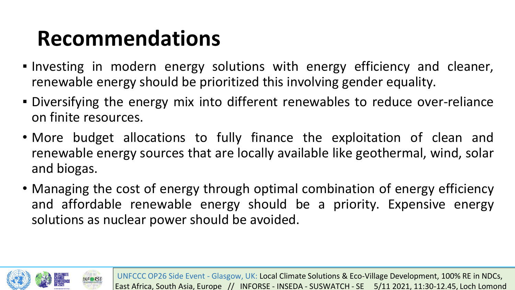## **Recommendations**

- **.** Investing in modern energy solutions with energy efficiency and cleaner, renewable energy should be prioritized this involving gender equality.
- Diversifying the energy mix into different renewables to reduce over-reliance on finite resources.
- More budget allocations to fully finance the exploitation of clean and renewable energy sources that are locally available like geothermal, wind, solar and biogas.
- Managing the cost of energy through optimal combination of energy efficiency and affordable renewable energy should be a priority. Expensive energy solutions as nuclear power should be avoided.

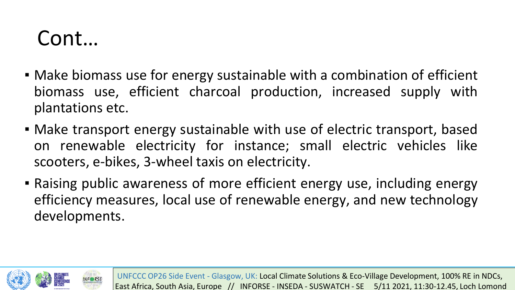### Cont…

- Make biomass use for energy sustainable with a combination of efficient biomass use, efficient charcoal production, increased supply with plantations etc.
- Make transport energy sustainable with use of electric transport, based on renewable electricity for instance; small electric vehicles like scooters, e-bikes, 3-wheel taxis on electricity.
- Raising public awareness of more efficient energy use, including energy efficiency measures, local use of renewable energy, and new technology developments.

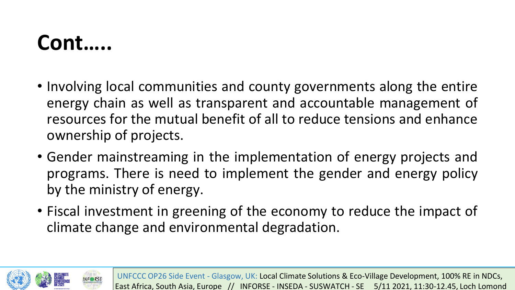### **Cont…..**

- Involving local communities and county governments along the entire energy chain as well as transparent and accountable management of resources for the mutual benefit of all to reduce tensions and enhance ownership of projects.
- Gender mainstreaming in the implementation of energy projects and programs. There is need to implement the gender and energy policy by the ministry of energy.
- Fiscal investment in greening of the economy to reduce the impact of climate change and environmental degradation.